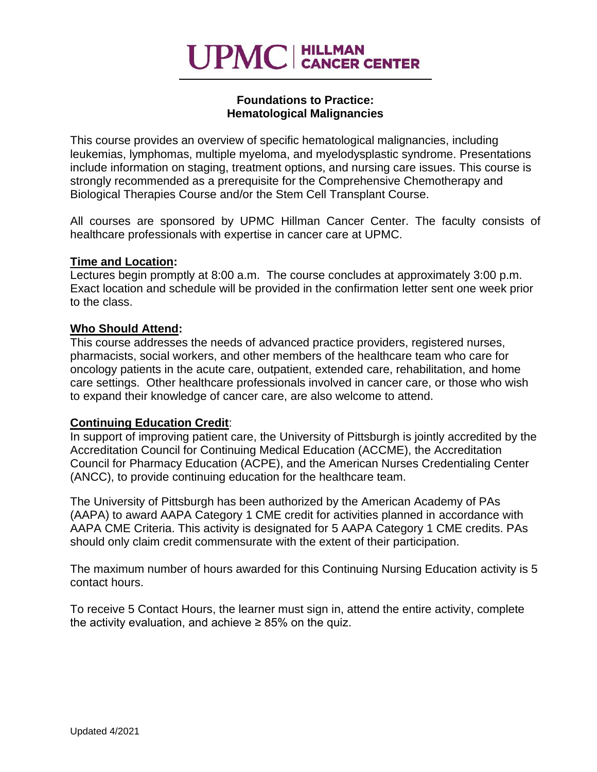# **UPMC** | HILLMAN

#### **Foundations to Practice: Hematological Malignancies**

This course provides an overview of specific hematological malignancies, including leukemias, lymphomas, multiple myeloma, and myelodysplastic syndrome. Presentations include information on staging, treatment options, and nursing care issues. This course is strongly recommended as a prerequisite for the Comprehensive Chemotherapy and Biological Therapies Course and/or the Stem Cell Transplant Course.

All courses are sponsored by UPMC Hillman Cancer Center. The faculty consists of healthcare professionals with expertise in cancer care at UPMC.

#### **Time and Location:**

Lectures begin promptly at 8:00 a.m. The course concludes at approximately 3:00 p.m. Exact location and schedule will be provided in the confirmation letter sent one week prior to the class.

#### **Who Should Attend:**

This course addresses the needs of advanced practice providers, registered nurses, pharmacists, social workers, and other members of the healthcare team who care for oncology patients in the acute care, outpatient, extended care, rehabilitation, and home care settings. Other healthcare professionals involved in cancer care, or those who wish to expand their knowledge of cancer care, are also welcome to attend.

## **Continuing Education Credit**:

In support of improving patient care, the University of Pittsburgh is jointly accredited by the Accreditation Council for Continuing Medical Education (ACCME), the Accreditation Council for Pharmacy Education (ACPE), and the American Nurses Credentialing Center (ANCC), to provide continuing education for the healthcare team.

The University of Pittsburgh has been authorized by the American Academy of PAs (AAPA) to award AAPA Category 1 CME credit for activities planned in accordance with AAPA CME Criteria. This activity is designated for 5 AAPA Category 1 CME credits. PAs should only claim credit commensurate with the extent of their participation.

The maximum number of hours awarded for this Continuing Nursing Education activity is 5 contact hours.

To receive 5 Contact Hours, the learner must sign in, attend the entire activity, complete the activity evaluation, and achieve  $\geq 85\%$  on the quiz.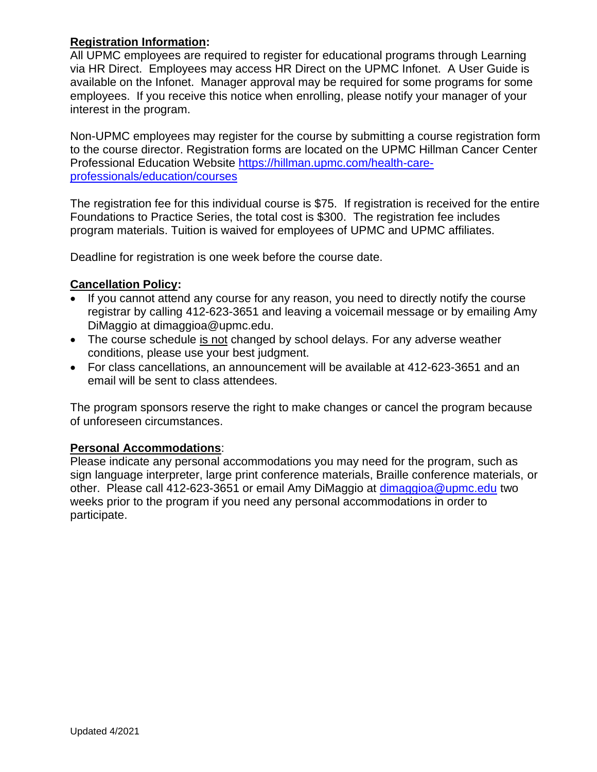# **Registration Information:**

All UPMC employees are required to register for educational programs through Learning via HR Direct. Employees may access HR Direct on the UPMC Infonet. A User Guide is available on the Infonet. Manager approval may be required for some programs for some employees. If you receive this notice when enrolling, please notify your manager of your interest in the program.

Non-UPMC employees may register for the course by submitting a course registration form to the course director. Registration forms are located on the UPMC Hillman Cancer Center Professional Education Website [https://hillman.upmc.com/health-care](https://hillman.upmc.com/health-care-professionals/education/courses)[professionals/education/courses](https://hillman.upmc.com/health-care-professionals/education/courses)

The registration fee for this individual course is \$75. If registration is received for the entire Foundations to Practice Series, the total cost is \$300. The registration fee includes program materials. Tuition is waived for employees of UPMC and UPMC affiliates.

Deadline for registration is one week before the course date.

## **Cancellation Policy:**

- If you cannot attend any course for any reason, you need to directly notify the course registrar by calling 412-623-3651 and leaving a voicemail message or by emailing Amy DiMaggio at dimaggioa@upmc.edu.
- The course schedule is not changed by school delays. For any adverse weather conditions, please use your best judgment.
- For class cancellations, an announcement will be available at 412-623-3651 and an email will be sent to class attendees.

The program sponsors reserve the right to make changes or cancel the program because of unforeseen circumstances.

## **Personal Accommodations**:

Please indicate any personal accommodations you may need for the program, such as sign language interpreter, large print conference materials, Braille conference materials, or other. Please call 412-623-3651 or email Amy DiMaggio at [dimaggioa@upmc.edu](mailto:dimaggioa@upmc.edu) two weeks prior to the program if you need any personal accommodations in order to participate.